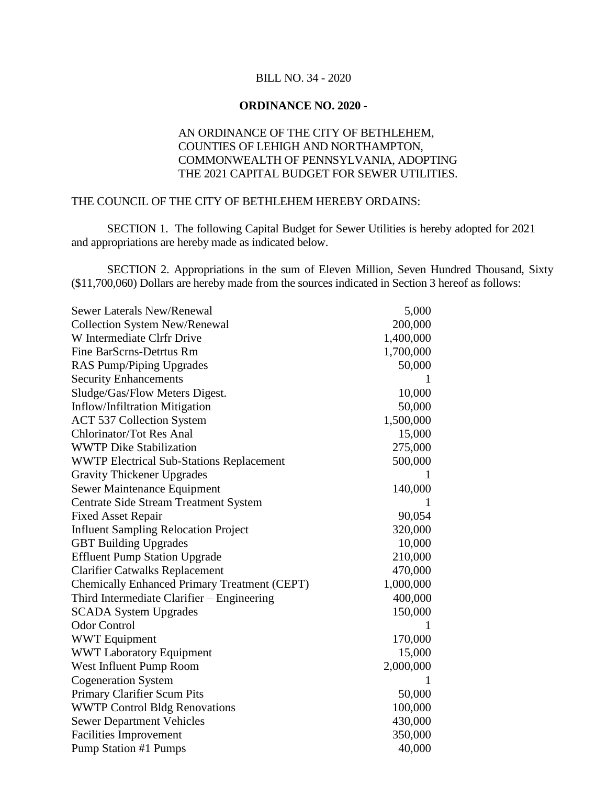## BILL NO. 34 - 2020

## **ORDINANCE NO. 2020 -**

## AN ORDINANCE OF THE CITY OF BETHLEHEM, COUNTIES OF LEHIGH AND NORTHAMPTON, COMMONWEALTH OF PENNSYLVANIA, ADOPTING THE 2021 CAPITAL BUDGET FOR SEWER UTILITIES.

## THE COUNCIL OF THE CITY OF BETHLEHEM HEREBY ORDAINS:

SECTION 1. The following Capital Budget for Sewer Utilities is hereby adopted for 2021 and appropriations are hereby made as indicated below.

SECTION 2. Appropriations in the sum of Eleven Million, Seven Hundred Thousand, Sixty (\$11,700,060) Dollars are hereby made from the sources indicated in Section 3 hereof as follows:

| <b>Sewer Laterals New/Renewal</b>                   | 5,000     |
|-----------------------------------------------------|-----------|
| <b>Collection System New/Renewal</b>                | 200,000   |
| W Intermediate Clrfr Drive                          | 1,400,000 |
| Fine BarScrns-Detrtus Rm                            | 1,700,000 |
| RAS Pump/Piping Upgrades                            | 50,000    |
| <b>Security Enhancements</b>                        | L         |
| Sludge/Gas/Flow Meters Digest.                      | 10,000    |
| Inflow/Infiltration Mitigation                      | 50,000    |
| <b>ACT 537 Collection System</b>                    | 1,500,000 |
| <b>Chlorinator/Tot Res Anal</b>                     | 15,000    |
| <b>WWTP Dike Stabilization</b>                      | 275,000   |
| <b>WWTP Electrical Sub-Stations Replacement</b>     | 500,000   |
| <b>Gravity Thickener Upgrades</b>                   | L         |
| Sewer Maintenance Equipment                         | 140,000   |
| <b>Centrate Side Stream Treatment System</b>        |           |
| <b>Fixed Asset Repair</b>                           | 90,054    |
| <b>Influent Sampling Relocation Project</b>         | 320,000   |
| <b>GBT Building Upgrades</b>                        | 10,000    |
| <b>Effluent Pump Station Upgrade</b>                | 210,000   |
| <b>Clarifier Catwalks Replacement</b>               | 470,000   |
| <b>Chemically Enhanced Primary Treatment (CEPT)</b> | 1,000,000 |
| Third Intermediate Clarifier – Engineering          | 400,000   |
| <b>SCADA System Upgrades</b>                        | 150,000   |
| <b>Odor Control</b>                                 |           |
| <b>WWT</b> Equipment                                | 170,000   |
| <b>WWT Laboratory Equipment</b>                     | 15,000    |
| West Influent Pump Room                             | 2,000,000 |
| <b>Cogeneration System</b>                          | L         |
| Primary Clarifier Scum Pits                         | 50,000    |
| <b>WWTP Control Bldg Renovations</b>                | 100,000   |
| <b>Sewer Department Vehicles</b>                    | 430,000   |
| <b>Facilities Improvement</b>                       | 350,000   |
| <b>Pump Station #1 Pumps</b>                        | 40,000    |